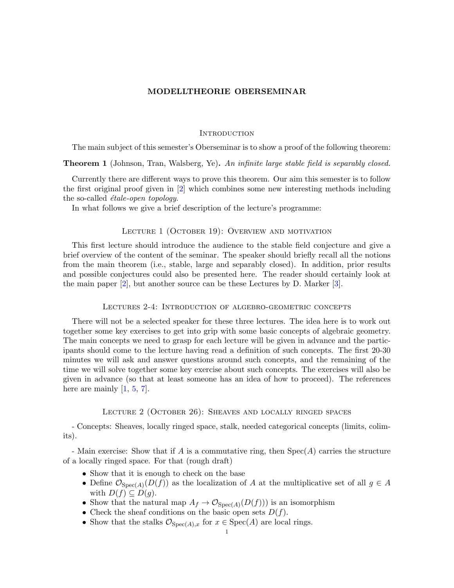## <span id="page-0-0"></span>MODELLTHEORIE OBERSEMINAR

## **INTRODUCTION**

The main subject of this semester's Oberseminar is to show a proof of the following theorem:

**Theorem 1** (Johnson, Tran, Walsberg, Ye). An infinite large stable field is separably closed.

Currently there are different ways to prove this theorem. Our aim this semester is to follow the first original proof given in [\[2\]](#page-2-0) which combines some new interesting methods including the so-called *étale-open topology*.

In what follows we give a brief description of the lecture's programme:

#### LECTURE 1 (OCTOBER 19): OVERVIEW AND MOTIVATION

This first lecture should introduce the audience to the stable field conjecture and give a brief overview of the content of the seminar. The speaker should briefly recall all the notions from the main theorem (i.e., stable, large and separably closed). In addition, prior results and possible conjectures could also be presented here. The reader should certainly look at the main paper [\[2\]](#page-2-0), but another source can be these Lectures by D. Marker [\[3\]](#page-2-1).

#### Lectures 2-4: Introduction of algebro-geometric concepts

There will not be a selected speaker for these three lectures. The idea here is to work out together some key exercises to get into grip with some basic concepts of algebraic geometry. The main concepts we need to grasp for each lecture will be given in advance and the participants should come to the lecture having read a definition of such concepts. The first 20-30 minutes we will ask and answer questions around such concepts, and the remaining of the time we will solve together some key exercise about such concepts. The exercises will also be given in advance (so that at least someone has an idea of how to proceed). The references here are mainly  $[1, 5, 7]$  $[1, 5, 7]$  $[1, 5, 7]$  $[1, 5, 7]$  $[1, 5, 7]$ .

# Lecture 2 (October 26): Sheaves and locally ringed spaces

- Concepts: Sheaves, locally ringed space, stalk, needed categorical concepts (limits, colimits).

- Main exercise: Show that if A is a commutative ring, then  $Spec(A)$  carries the structure of a locally ringed space. For that (rough draft)

- Show that it is enough to check on the base
- Define  $\mathcal{O}_{Spec(A)}(D(f))$  as the localization of A at the multiplicative set of all  $g \in A$ with  $D(f) \subseteq D(g)$ .
- Show that the natural map  $A_f \to \mathcal{O}_{Spec(A)}(D(f)))$  is an isomorphism
- Check the sheaf conditions on the basic open sets  $D(f)$ .
- Show that the stalks  $\mathcal{O}_{Spec(A),x}$  for  $x \in Spec(A)$  are local rings.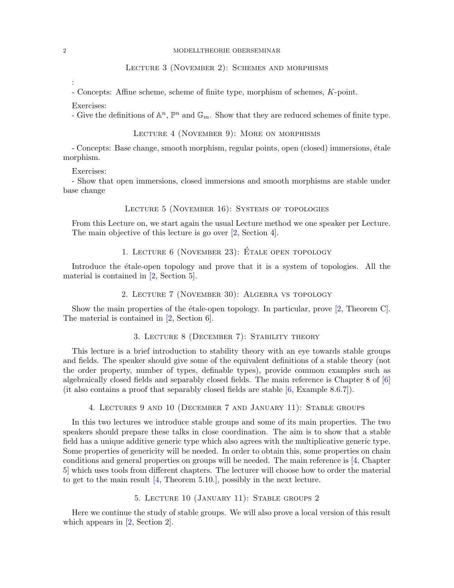# Lecture 3 (November 2): Schemes and morphisms

- Concepts: Affine scheme, scheme of finite type, morphism of schemes, K-point.

Exercises:

- Give the definitions of  $\mathbb{A}^n$ ,  $\mathbb{P}^n$  and  $\mathbb{G}_m$ . Show that they are reduced schemes of finite type.

Lecture 4 (November 9): More on morphisms

- Concepts: Base change, smooth morphism, regular points, open (closed) immersions, étale morphism.

Exercises:

- Show that open immersions, closed immersions and smooth morphisms are stable under base change

## LECTURE 5 (NOVEMBER 16): SYSTEMS OF TOPOLOGIES

From this Lecture on, we start again the usual Lecture method we one speaker per Lecture. The main objective of this lecture is go over [\[2,](#page-2-0) Section 4].

# 1. LECTURE  $6$  (NOVEMBER 23): ÉTALE OPEN TOPOLOGY

Introduce the etale-open topology and prove that it is a system of topologies. All the material is contained in [\[2,](#page-2-0) Section 5].

2. Lecture 7 (November 30): Algebra vs topology

Show the main properties of the étale-open topology. In particular, prove  $[2,$  Theorem C. The material is contained in [\[2,](#page-2-0) Section 6].

# 3. Lecture 8 (December 7): Stability theory

This lecture is a brief introduction to stability theory with an eye towards stable groups and fields. The speaker should give some of the equivalent definitions of a stable theory (not the order property, number of types, definable types), provide common examples such as algebraically closed fields and separably closed fields. The main reference is Chapter 8 of [\[6\]](#page-2-5) (it also contains a proof that separably closed fields are stable [\[6,](#page-2-5) Example 8.6.7]).

4. Lectures 9 and 10 (December 7 and January 11): Stable groups

In this two lectures we introduce stable groups and some of its main properties. The two speakers should prepare these talks in close coordination. The aim is to show that a stable field has a unique additive generic type which also agrees with the multiplicative generic type. Some properties of genericity will be needed. In order to obtain this, some properties on chain conditions and general properties on groups will be needed. The main reference is [\[4,](#page-2-6) Chapter 5] which uses tools from different chapters. The lecturer will choose how to order the material to get to the main result [\[4,](#page-2-6) Theorem 5.10.], possibly in the next lecture.

# 5. Lecture 10 (January 11): Stable groups 2

Here we continue the study of stable groups. We will also prove a local version of this result which appears in [\[2,](#page-2-0) Section 2].

<span id="page-1-0"></span>: